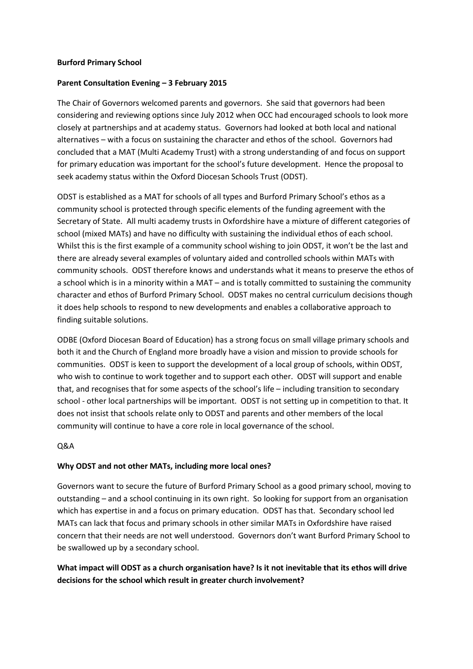#### **Burford Primary School**

## **Parent Consultation Evening – 3 February 2015**

The Chair of Governors welcomed parents and governors. She said that governors had been considering and reviewing options since July 2012 when OCC had encouraged schools to look more closely at partnerships and at academy status. Governors had looked at both local and national alternatives – with a focus on sustaining the character and ethos of the school. Governors had concluded that a MAT (Multi Academy Trust) with a strong understanding of and focus on support for primary education was important for the school's future development. Hence the proposal to seek academy status within the Oxford Diocesan Schools Trust (ODST).

ODST is established as a MAT for schools of all types and Burford Primary School's ethos as a community school is protected through specific elements of the funding agreement with the Secretary of State. All multi academy trusts in Oxfordshire have a mixture of different categories of school (mixed MATs) and have no difficulty with sustaining the individual ethos of each school. Whilst this is the first example of a community school wishing to join ODST, it won't be the last and there are already several examples of voluntary aided and controlled schools within MATs with community schools. ODST therefore knows and understands what it means to preserve the ethos of a school which is in a minority within a MAT – and is totally committed to sustaining the community character and ethos of Burford Primary School. ODST makes no central curriculum decisions though it does help schools to respond to new developments and enables a collaborative approach to finding suitable solutions.

ODBE (Oxford Diocesan Board of Education) has a strong focus on small village primary schools and both it and the Church of England more broadly have a vision and mission to provide schools for communities. ODST is keen to support the development of a local group of schools, within ODST, who wish to continue to work together and to support each other. ODST will support and enable that, and recognises that for some aspects of the school's life – including transition to secondary school - other local partnerships will be important. ODST is not setting up in competition to that. It does not insist that schools relate only to ODST and parents and other members of the local community will continue to have a core role in local governance of the school.

## Q&A

## **Why ODST and not other MATs, including more local ones?**

Governors want to secure the future of Burford Primary School as a good primary school, moving to outstanding – and a school continuing in its own right. So looking for support from an organisation which has expertise in and a focus on primary education. ODST has that. Secondary school led MATs can lack that focus and primary schools in other similar MATs in Oxfordshire have raised concern that their needs are not well understood. Governors don't want Burford Primary School to be swallowed up by a secondary school.

# **What impact will ODST as a church organisation have? Is it not inevitable that its ethos will drive decisions for the school which result in greater church involvement?**